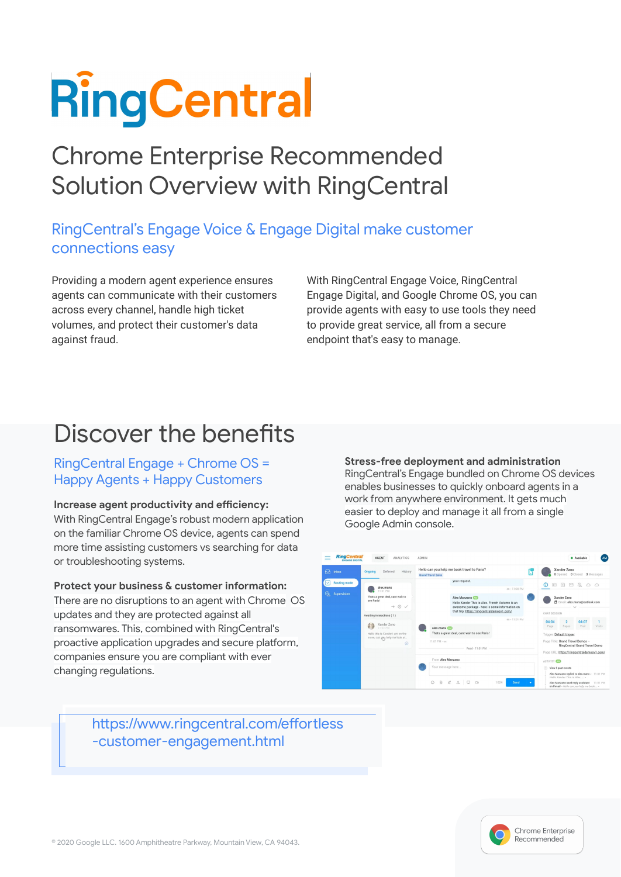# **RingCentral**

## Chrome Enterprise Recommended Solution Overview with RingCentral

## RingCentral's Engage Voice & Engage Digital make customer connections easy

Providing a modern agent experience ensures agents can communicate with their customers across every channel, handle high ticket volumes, and protect their customer's data against fraud.

With RingCentral Engage Voice, RingCentral Engage Digital, and Google Chrome OS, you can provide agents with easy to use tools they need to provide great service, all from a secure endpoint that's easy to manage.

## Discover the benefits

### RingCentral Engage + Chrome OS = Happy Agents + Happy Customers

#### **Increase agent productivity and efficiency:**

With RingCentral Engage's robust modern application on the familiar Chrome OS device, agents can spend more time assisting customers vs searching for data or troubleshooting systems.

#### **Protect your business & customer information:**

There are no disruptions to an agent with Chrome OS updates and they are protected against all ransomwares. This, combined with RingCentral's proactive application upgrades and secure platform, companies ensure you are compliant with ever changing regulations.

**Stress-free deployment and administration**  RingCentral's Engage bundled on Chrome OS devices enables businesses to quickly onboard agents in a work from anywhere environment. It gets much easier to deploy and manage it all from a single Google Admin console.

| <b>RingCentral</b><br><b>ENGAGE DIGITAL</b>     | <b>AGENT</b><br><b>ANALYTICS</b>                                                                                                                                                                                                               | <b>ADMIN</b>                                                                                                                                                                                                                                                                                             |                                | · Available<br>AM                                                                                                                                                                                                                                                                                                                                                           |
|-------------------------------------------------|------------------------------------------------------------------------------------------------------------------------------------------------------------------------------------------------------------------------------------------------|----------------------------------------------------------------------------------------------------------------------------------------------------------------------------------------------------------------------------------------------------------------------------------------------------------|--------------------------------|-----------------------------------------------------------------------------------------------------------------------------------------------------------------------------------------------------------------------------------------------------------------------------------------------------------------------------------------------------------------------------|
| $\Theta$<br>Inbox                               | History<br>Deferred<br>Ongoing                                                                                                                                                                                                                 | Hello can you help me book travel to Paris?<br>н<br><b>Grand Travel Sales</b>                                                                                                                                                                                                                            |                                | Xander Zano<br>O Opened O Closed 3 Messages                                                                                                                                                                                                                                                                                                                                 |
| <b>Routing mode</b><br><u>ଡ଼</u><br>Supervision | alex.manx<br>11:01 PM<br>Thats a great deal, cant wait to<br>see Paris!<br>$\rightarrow$ 0 $\checkmark$<br>Awaiting interactions (1)<br>Xander Zano<br>11:02 PM<br>Hello this is Xander Lam on the<br>move, can yny help me look at<br>$\odot$ | your request.<br>Alex Manzano<br>Hello Xander This is Alex. French Autumn is an<br>awesome package - here is some information on<br>that trip: https://ringcentraldemosv1.com/<br>alex.manx (32)<br>Thats a great deal, cant wait to see Paris!<br>11:01 PM - en<br>Read - 11:01 PM<br>From Alex Manzano | en - 11:00 PM<br>en - 11:01 PM | ⊠ &<br>$\circ$ $\circ$<br>$\Box$<br>$\frac{1}{4}$<br>O<br>Xander Zano<br>图 Email: alex.manx@outlook.com<br>CHAT SESSION<br>04:04<br>04:07<br>$\overline{2}$<br><b>Visit</b><br>Visits<br>Page<br>Pages<br>Trigger: Default trigger<br>Page Title: Grand Travel Demos -<br>RingCentral Grand Travel Demo<br>Page URL: https://ringcentraldemosv1.com/<br><b>ACTIVITY CAN</b> |
|                                                 |                                                                                                                                                                                                                                                | Your message here                                                                                                                                                                                                                                                                                        |                                | $\odot$<br>View 5 past events<br>Alex Manzano replied to alex.manx = 11:01 PM<br>Hello Xander This is Alex »                                                                                                                                                                                                                                                                |
|                                                 |                                                                                                                                                                                                                                                | $\theta$<br>å<br>Ø.<br>₽<br>$\Box$                                                                                                                                                                                                                                                                       | 1024<br>Send<br>٠              | Alex Manzano used reply assistant 11:01 PM<br>on thread « Hello can you help me book  »                                                                                                                                                                                                                                                                                     |

https://www.ringcentral.com/effortless -customer-engagement.html